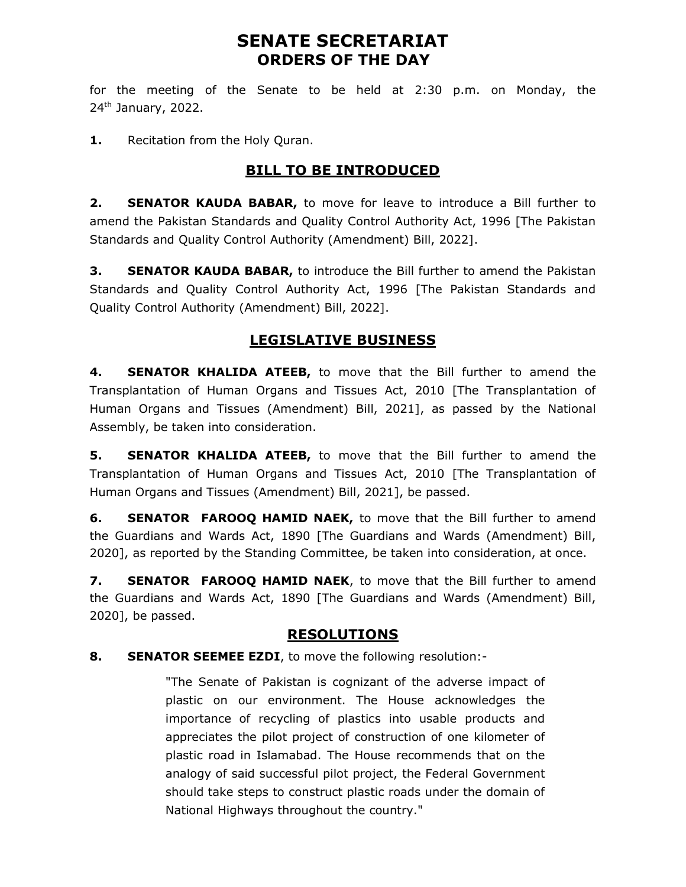## SENATE SECRETARIAT ORDERS OF THE DAY

for the meeting of the Senate to be held at 2:30 p.m. on Monday, the  $24<sup>th</sup>$  January, 2022.

1. Recitation from the Holy Quran.

## **BILL TO BE INTRODUCED**

2. **SENATOR KAUDA BABAR,** to move for leave to introduce a Bill further to amend the Pakistan Standards and Quality Control Authority Act, 1996 [The Pakistan Standards and Quality Control Authority (Amendment) Bill, 2022].

3. SENATOR KAUDA BABAR, to introduce the Bill further to amend the Pakistan Standards and Quality Control Authority Act, 1996 [The Pakistan Standards and Quality Control Authority (Amendment) Bill, 2022].

## LEGISLATIVE BUSINESS

4. **SENATOR KHALIDA ATEEB,** to move that the Bill further to amend the Transplantation of Human Organs and Tissues Act, 2010 [The Transplantation of Human Organs and Tissues (Amendment) Bill, 2021], as passed by the National Assembly, be taken into consideration.

5. SENATOR KHALIDA ATEEB, to move that the Bill further to amend the Transplantation of Human Organs and Tissues Act, 2010 [The Transplantation of Human Organs and Tissues (Amendment) Bill, 2021], be passed.

6. SENATOR FAROOQ HAMID NAEK, to move that the Bill further to amend the Guardians and Wards Act, 1890 [The Guardians and Wards (Amendment) Bill, 2020], as reported by the Standing Committee, be taken into consideration, at once.

7. SENATOR FAROOO HAMID NAEK, to move that the Bill further to amend the Guardians and Wards Act, 1890 [The Guardians and Wards (Amendment) Bill, 2020], be passed.

### RESOLUTIONS

#### 8. SENATOR SEEMEE EZDI, to move the following resolution:-

"The Senate of Pakistan is cognizant of the adverse impact of plastic on our environment. The House acknowledges the importance of recycling of plastics into usable products and appreciates the pilot project of construction of one kilometer of plastic road in Islamabad. The House recommends that on the analogy of said successful pilot project, the Federal Government should take steps to construct plastic roads under the domain of National Highways throughout the country."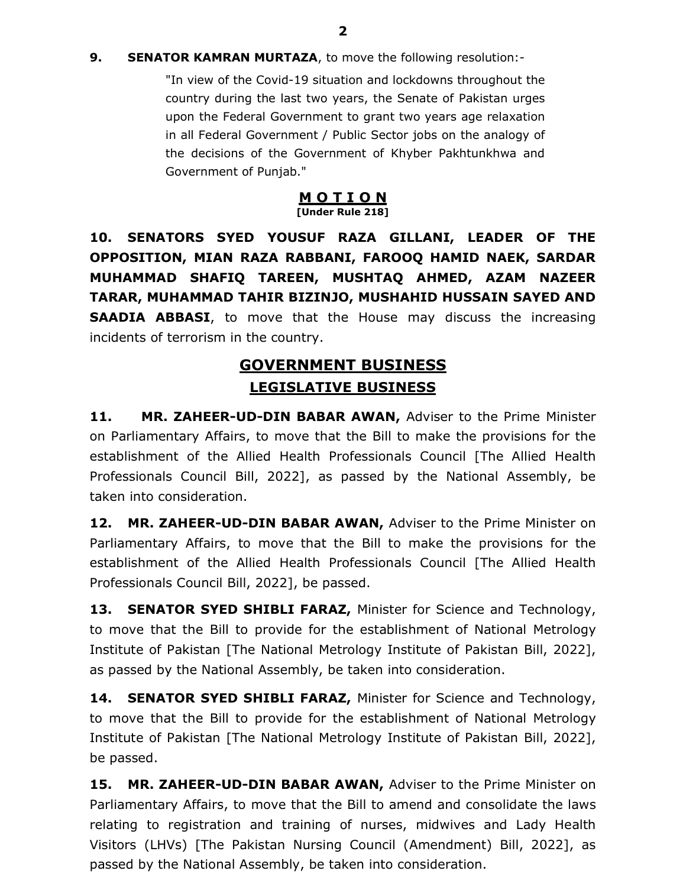"In view of the Covid-19 situation and lockdowns throughout the country during the last two years, the Senate of Pakistan urges upon the Federal Government to grant two years age relaxation in all Federal Government / Public Sector jobs on the analogy of the decisions of the Government of Khyber Pakhtunkhwa and Government of Punjab."

#### M O T I O N [Under Rule 218]

10. SENATORS SYED YOUSUF RAZA GILLANI, LEADER OF THE OPPOSITION, MIAN RAZA RABBANI, FAROOQ HAMID NAEK, SARDAR MUHAMMAD SHAFIQ TAREEN, MUSHTAQ AHMED, AZAM NAZEER TARAR, MUHAMMAD TAHIR BIZINJO, MUSHAHID HUSSAIN SAYED AND **SAADIA ABBASI**, to move that the House may discuss the increasing incidents of terrorism in the country.

# GOVERNMENT BUSINESS LEGISLATIVE BUSINESS

11. MR. ZAHEER-UD-DIN BABAR AWAN, Adviser to the Prime Minister on Parliamentary Affairs, to move that the Bill to make the provisions for the establishment of the Allied Health Professionals Council [The Allied Health Professionals Council Bill, 2022], as passed by the National Assembly, be taken into consideration.

12. MR. ZAHEER-UD-DIN BABAR AWAN, Adviser to the Prime Minister on Parliamentary Affairs, to move that the Bill to make the provisions for the establishment of the Allied Health Professionals Council [The Allied Health Professionals Council Bill, 2022], be passed.

13. SENATOR SYED SHIBLI FARAZ, Minister for Science and Technology, to move that the Bill to provide for the establishment of National Metrology Institute of Pakistan [The National Metrology Institute of Pakistan Bill, 2022], as passed by the National Assembly, be taken into consideration.

14. SENATOR SYED SHIBLI FARAZ, Minister for Science and Technology, to move that the Bill to provide for the establishment of National Metrology Institute of Pakistan [The National Metrology Institute of Pakistan Bill, 2022], be passed.

15. MR. ZAHEER-UD-DIN BABAR AWAN, Adviser to the Prime Minister on Parliamentary Affairs, to move that the Bill to amend and consolidate the laws relating to registration and training of nurses, midwives and Lady Health Visitors (LHVs) [The Pakistan Nursing Council (Amendment) Bill, 2022], as passed by the National Assembly, be taken into consideration.